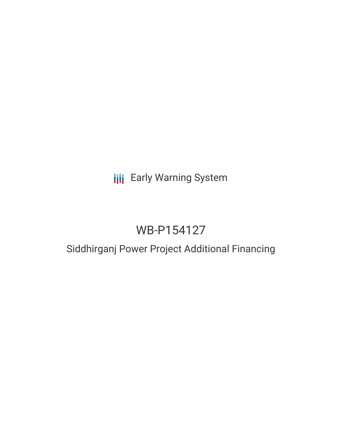# **III** Early Warning System

# WB-P154127

# Siddhirganj Power Project Additional Financing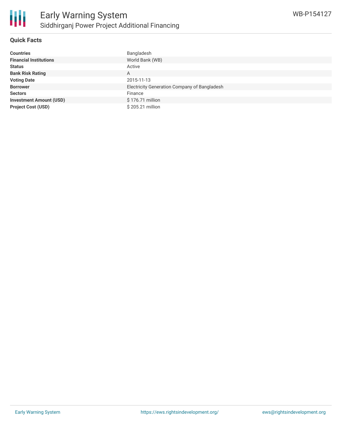

#### **Quick Facts**

| <b>Countries</b>               | Bangladesh                                   |
|--------------------------------|----------------------------------------------|
| <b>Financial Institutions</b>  | World Bank (WB)                              |
| <b>Status</b>                  | Active                                       |
| <b>Bank Risk Rating</b>        | Α                                            |
| <b>Voting Date</b>             | 2015-11-13                                   |
| <b>Borrower</b>                | Electricity Generation Company of Bangladesh |
| <b>Sectors</b>                 | Finance                                      |
| <b>Investment Amount (USD)</b> | \$176.71 million                             |
| <b>Project Cost (USD)</b>      | \$205.21 million                             |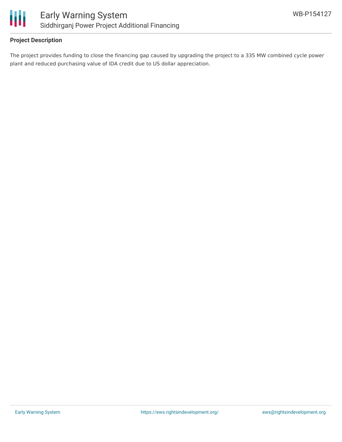

### **Project Description**

The project provides funding to close the financing gap caused by upgrading the project to a 335 MW combined cycle power plant and reduced purchasing value of IDA credit due to US dollar appreciation.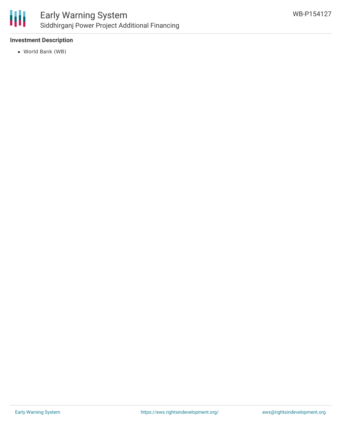

### **Investment Description**

World Bank (WB)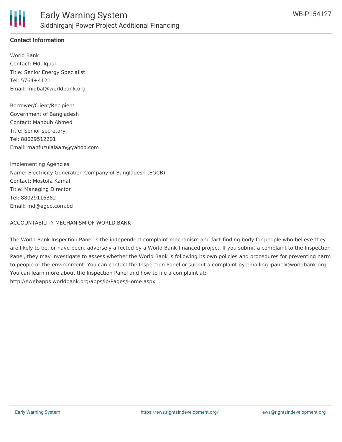

## **Contact Information**

World Bank Contact: Md. Iqbal Title: Senior Energy Specialist Tel: 5764+4121 Email: miqbal@worldbank.org

Borrower/Client/Recipient Government of Bangladesh Contact: Mahbub Ahmed Title: Senior secretary Tel: 88029512201 Email: mahfuzulalaam@yahoo.com

Implementing Agencies Name: Electricity Generation Company of Bangladesh (EGCB) Contact: Mostofa Kamal Title: Managing Director Tel: 88029116382 Email: md@egcb.com.bd

#### ACCOUNTABILITY MECHANISM OF WORLD BANK

The World Bank Inspection Panel is the independent complaint mechanism and fact-finding body for people who believe they are likely to be, or have been, adversely affected by a World Bank-financed project. If you submit a complaint to the Inspection Panel, they may investigate to assess whether the World Bank is following its own policies and procedures for preventing harm to people or the environment. You can contact the Inspection Panel or submit a complaint by emailing ipanel@worldbank.org. You can learn more about the Inspection Panel and how to file a complaint at: http://ewebapps.worldbank.org/apps/ip/Pages/Home.aspx.